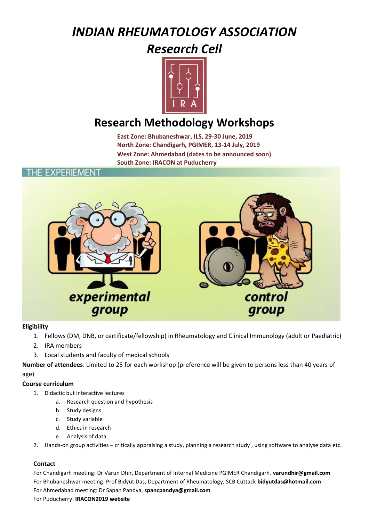# *INDIAN RHEUMATOLOGY ASSOCIATION*

### *Research Cell*



## **Research Methodology Workshops**

**East Zone: Bhubaneshwar, ILS, 29-30 June, 2019 North Zone: Chandigarh, PGIMER, 13-14 July, 2019 West Zone: Ahmedabad (dates to be announced soon) South Zone: IRACON at Puducherry**

### **EXPERIEMENT**



#### **Eligibility**

- 1. Fellows (DM, DNB, or certificate/fellowship) in Rheumatology and Clinical Immunology (adult or Paediatric)
- 2. IRA members
- 3. Local students and faculty of medical schools

**Number of attendees**: Limited to 25 for each workshop (preference will be given to persons less than 40 years of age)

#### **Course curriculum**

- 1. Didactic but interactive lectures
	- a. Research question and hypothesis
	- b. Study designs
	- c. Study variable
	- d. Ethics in research
	- e. Analysis of data
- 2. Hands-on group activities critically appraising a study, planning a research study , using software to analyse data etc.

#### **Contact**

For Chandigarh meeting: Dr Varun Dhir, Department of Internal Medicine PGIMER Chandigarh. **[varundhir@gmail.com](mailto:varundhir@gmail.com)** For Bhubaneshwar meeting: Prof Bidyut Das, Department of Rheumatology, SCB Cuttack **[bidyutdas@hotmail.com](mailto:bidyutdas@hotmail.com)** For Ahmedabad meeting: Dr Sapan Pandya, **[spancpandya@gmail.com](mailto:spancpandya@gmail.com)**

For Puducherry: **IRACON2019 website**